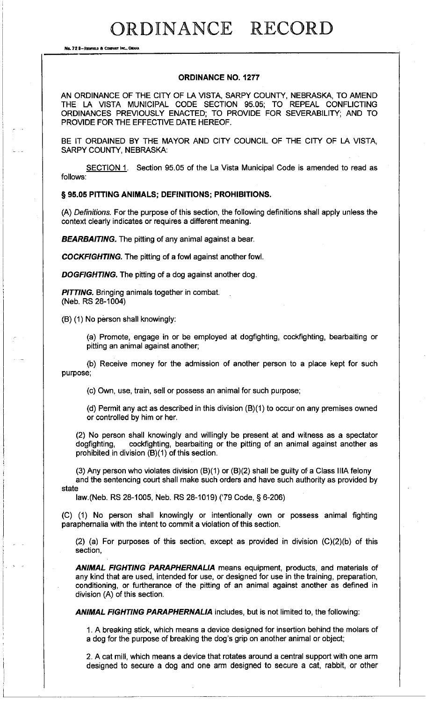## ORDINANCE RECORD

**No. 72 8-REOFln.D 8: COIIPANT INC., OIWU,** 

## **ORDINANCE NO. 1277**

AN ORDINANCE OF THE CITY OF LA VISTA, SARPY COUNTY, NEBRASKA, TO AMEND THE LA VISTA MUNICIPAL CODE SECTION 95.05; TO REPEAL CONFLICTING ORDINANCES PREVIOUSLY ENACTED; TO PROVIDE FOR SEVERABILITY; AND TO PROVIDE FOR THE EFFECTIVE DATE HEREOF.

BE IT ORDAINED BY THE MAYOR AND CITY COUNCIL OF THE CITY OF LA VISTA, SARPY COUNTY, NEBRASKA:

SECTION 1. Section 95.05 of the La Vista Municipal Code is amended to read as follows:

## § **95.05 PITTING ANIMALS; DEFINITIONS; PROHIBITIONS.**

(A) Definitions. For the purpose of this section, the following definitions shall apply unless the context clearly indicates or requires a different meaning.

**BEARBAITING.** The pitting of any animal against a bear.

**COCKFIGHTING.** The pitting of a fowl against another fowl.

**DOGFIGHTING.** The pitting of a dog against another dog.

**PITTING.** Bringing animals together in combat. (Neb. RS 28-1004)

(8) (1) No person shall knowingly:

(a) Promote, engage in or be employed at dogfighting, cockfighting, bearbaiting or pitting an animal against another;

(b) Receive money for the admission of another person to a place kept for such purpose;

(c) Own, use, train, sell or possess an animal for such purpose;

(d) Permit any act as described in this division  $(B)(1)$  to occur on any premises owned or controlled by him or her.

(2) No person shall knowingly and willingly be present at and witness as a spectator dogfighting, cockfighting, bearbaiting or the pitting of an animal against another as prohibited in division (8)(1) of this section.

(3) Any person who violates division (8)(1) or (8)(2) shall be guilty of a Class IIIA felony and the sentencing court shall make such orders and have such authority as provided by state

law.(Neb. RS 28-1005, Neb. RS 28-1019) ('79 Code,§ 6-206)

(C) (1) No person shall knowingly or intentionally own or possess animal fighting paraphernalia with the intent to commit a violation of this section.

(2) (a) For purposes of this section, except as provided in division (C)(2)(b) of this section,

**ANIMAL FIGHTING PARAPHERNALIA** means equipment, products, and materials of any kind that are used, intended for use, or designed for use in the training, preparation, conditioning, or furtherance of the pitting of an animal against another as defined in division (A) of this section.

**ANIMAL FIGHTING PARAPHERNALIA** includes, but is not limited to, the following:

1. A breaking stick, which means a device designed for insertion behind the molars of a dog for the purpose of breaking the dog's grip on another animal or object;

2. A cat mill, which means a device that rotates around a central support with one arm designed to secure a dog and one arm designed to secure a cat, rabbit, or other